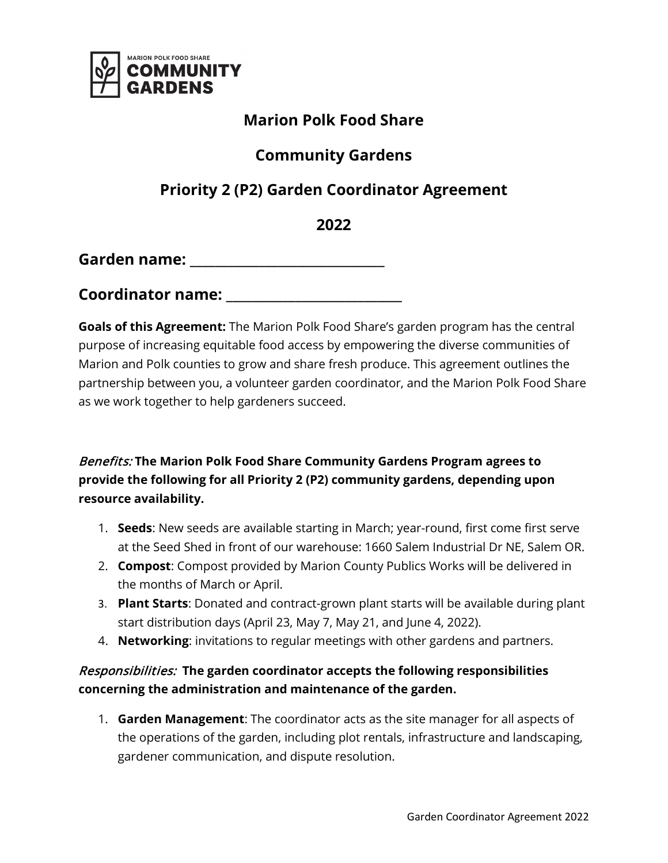

# **Marion Polk Food Share**

### **Community Gardens**

# **Priority 2 (P2) Garden Coordinator Agreement**

**2022** 

**Garden name: \_\_\_\_\_\_\_\_\_\_\_\_\_\_\_\_\_\_\_\_\_\_\_\_\_\_\_\_\_\_\_**

**Coordinator name: \_\_\_\_\_\_\_\_\_\_\_\_\_\_\_\_\_\_\_\_\_\_\_\_\_\_\_\_**

**Goals of this Agreement:** The Marion Polk Food Share's garden program has the central purpose of increasing equitable food access by empowering the diverse communities of Marion and Polk counties to grow and share fresh produce. This agreement outlines the partnership between you, a volunteer garden coordinator, and the Marion Polk Food Share as we work together to help gardeners succeed.

Benefits: **The Marion Polk Food Share Community Gardens Program agrees to provide the following for all Priority 2 (P2) community gardens, depending upon resource availability.**

- 1. **Seeds**: New seeds are available starting in March; year-round, first come first serve at the Seed Shed in front of our warehouse: 1660 Salem Industrial Dr NE, Salem OR.
- 2. **Compost**: Compost provided by Marion County Publics Works will be delivered in the months of March or April.
- 3. **Plant Starts**: Donated and contract-grown plant starts will be available during plant start distribution days (April 23, May 7, May 21, and June 4, 2022).
- 4. **Networking**: invitations to regular meetings with other gardens and partners.

#### Responsibilities: **The garden coordinator accepts the following responsibilities concerning the administration and maintenance of the garden.**

1. **Garden Management**: The coordinator acts as the site manager for all aspects of the operations of the garden, including plot rentals, infrastructure and landscaping, gardener communication, and dispute resolution.